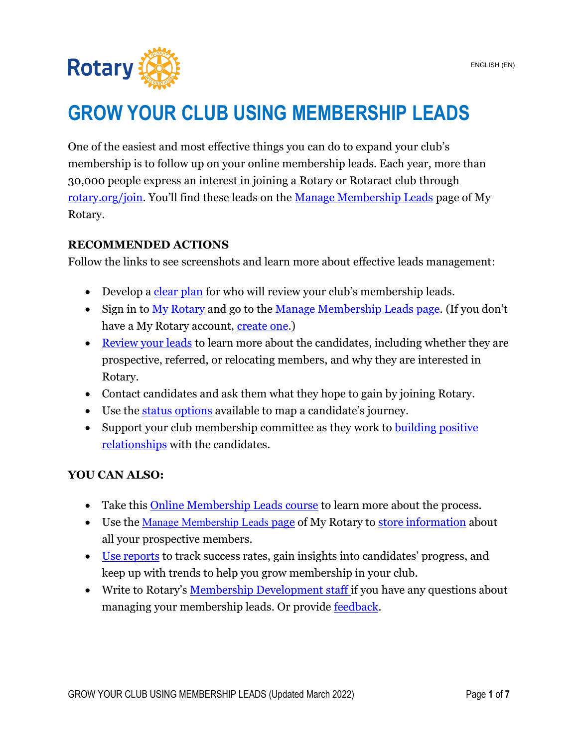

# **GROW YOUR CLUB USING MEMBERSHIP LEADS**

One of the easiest and most effective things you can do to expand your club's membership is to follow up on your online membership leads. Each year, more than 30,000 people express an interest in joining a Rotary or Rotaract club through [rotary.org/join.](https://www.rotary.org/en/get-involved/join) You'll find these leads on the [Manage Membership Leads](https://my.rotary.org/en/manage/club-district-administration/club-administration/membership-leads) page of My Rotary.

#### <span id="page-0-0"></span>**RECOMMENDED ACTIONS**

Follow the links to see screenshots and learn more about effective leads management:

- Develop a [clear plan](#page-1-0) for who will review your club's membership leads.
- Sign in to [My Rotary](https://my.rotary.org/en/join-rotary/prospective-members) and go to the [Manage Membership Leads page.](https://my.rotary.org/en/manage/club-district-administration/club-administration/membership-leads) (If you don't have a My Rotary account, [create one.](https://my.rotary.org/en/signup))
- [Review your leads](#page-1-1) to learn more about the candidates, including whether they are prospective, referred, or relocating members, and why they are interested in Rotary.
- Contact candidates and ask them what they hope to gain by joining Rotary.
- Use the [status options](#page-3-0) available to map a candidate's journey.
- Support your club membership committee as they work to building positive [relationships](https://my-cms.rotary.org/en/document/creating-positive-experience-prospective-members) with the candidates.

#### **YOU CAN ALSO:**

- Take this [Online Membership Leads course](https://www.rotary.org/learn?deep-link=https%3A//learn.rotary.org/members%3Fr%3Dsite/sso%26sso_type%3Dsaml%26id_course%3D104) to learn more about the process.
- Use the <u>[Manage Membership Leads](https://my.rotary.org/en/manage/club-district-administration/club-administration/membership-leads) [page](https://my.rotary.org/en/manage/club-district-administration/club-administration/membership-leads)</u> of My Rotary to [store information](#page-5-0) about all your prospective members.
- [Use reports](#page-5-1) to track success rates, gain insights into candidates' progress, and keep up with trends to help you grow membership in your club.
- Write to Rotary's <u>[Membership Development staff](mailto:membershipdevelopment@rotary.org)</u> if you have any questions about managing your membership leads. Or provide [feedback.](#page-6-0)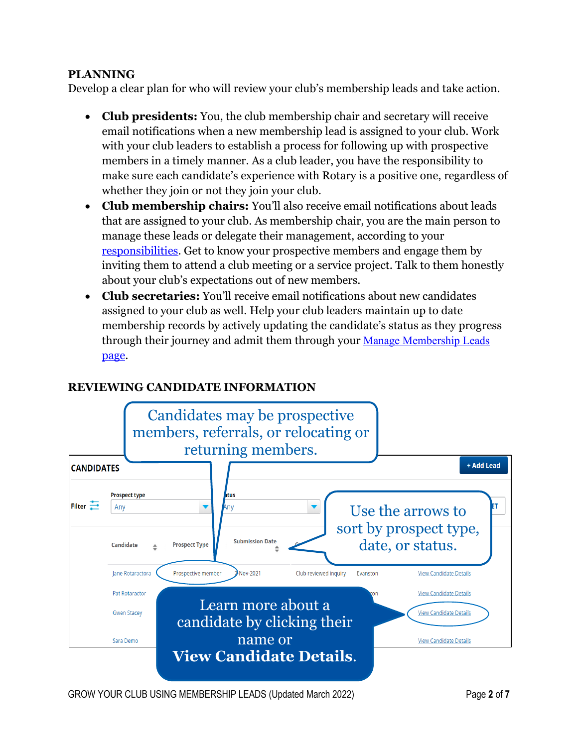#### <span id="page-1-0"></span>**PLANNING**

Develop a clear plan for who will review your club's membership leads and take action.

- **Club presidents:** You, the club membership chair and secretary will receive email notifications when a new membership lead is assigned to your club. Work with your club leaders to establish a process for following up with prospective members in a timely manner. As a club leader, you have the responsibility to make sure each candidate's experience with Rotary is a positive one, regardless of whether they join or not they join your club.
- **Club membership chairs:** You'll also receive email notifications about leads that are assigned to your club. As membership chair, you are the main person to manage these leads or delegate their management, according to your [responsibilities.](https://my-cms.rotary.org/en/document/club-membership-committee-checklist) Get to know your prospective members and engage them by inviting them to attend a club meeting or a service project. Talk to them honestly about your club's expectations out of new members.
- **Club secretaries:** You'll receive email notifications about new candidates assigned to your club as well. Help your club leaders maintain up to date membership records by actively updating the candidate's status as they progress through their journey and admit them through your [Manage Membership Leads](https://my.rotary.org/en/manage/club-district-administration/club-administration/membership-leads) [page.](https://my.rotary.org/en/manage/club-district-administration/club-administration/membership-leads)

### **REVIEWING CANDIDATE INFORMATION**

<span id="page-1-1"></span>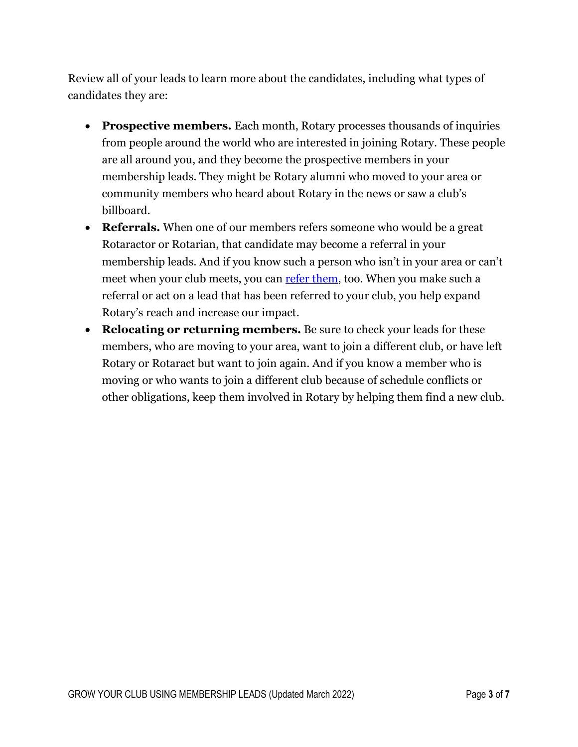Review all of your leads to learn more about the candidates, including what types of candidates they are:

- **Prospective members.** Each month, Rotary processes thousands of inquiries from people around the world who are interested in joining Rotary. These people are all around you, and they become the prospective members in your membership leads. They might be Rotary alumni who moved to your area or community members who heard about Rotary in the news or saw a club's billboard.
- **Referrals.** When one of our members refers someone who would be a great Rotaractor or Rotarian, that candidate may become a referral in your membership leads. And if you know such a person who isn't in your area or can't meet when your club meets, you can [refer them,](https://my.rotary.org/en/member-center/member-referral) too. When you make such a referral or act on a lead that has been referred to your club, you help expand Rotary's reach and increase our impact.
- **Relocating or returning members.** Be sure to check your leads for these members, who are moving to your area, want to join a different club, or have left Rotary or Rotaract but want to join again. And if you know a member who is moving or who wants to join a different club because of schedule conflicts or other obligations, keep them involved in Rotary by helping them find a new club.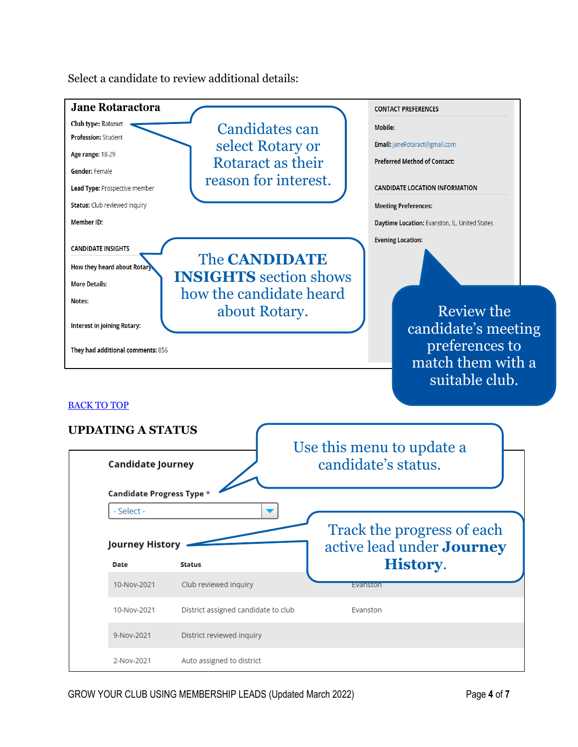<span id="page-3-0"></span>**Jane Rotaractora CONTACT PREFERENCES** Club type: Rotaract Candidates can Mobile: **Profession: Student** select Rotary or Email: JaneRotaract@gmail.com Age range: 18-29 Rotaract as their **Preferred Method of Contact: Gender: Female** reason for interest. **CANDIDATE LOCATION INFORMATION** Lead Type: Prospective member **Status:** Club reviewed inquiry **Meeting Preferences:** Member ID: Daytime Location: Evanston, IL, United States **Evening Location: CANDIDATE INSIGHTS** The **CANDIDATE**  How they heard about Rotary **INSIGHTS** section shows **More Details:** how the candidate heard Notes: about Rotary. Review the **Interest in joining Rotary:** candidate's meeting preferences to They had additional comments: 856 match them with a suitable club. [BACK TO TOP](#page-0-0) **UPDATING A STATUS** Use this menu to update a candidate's status. **Candidate Journey** Candidate Progress Type \* Select -Track the progress of each active lead under **Journey Journey History History**. Date **Status** 10-Nov-2021 Club reviewed inquiry Evanston 10-Nov-2021 District assigned candidate to club Evanston 9-Nov-2021 District reviewed inquiry 2-Nov-2021 Auto assigned to district

Select a candidate to review additional details: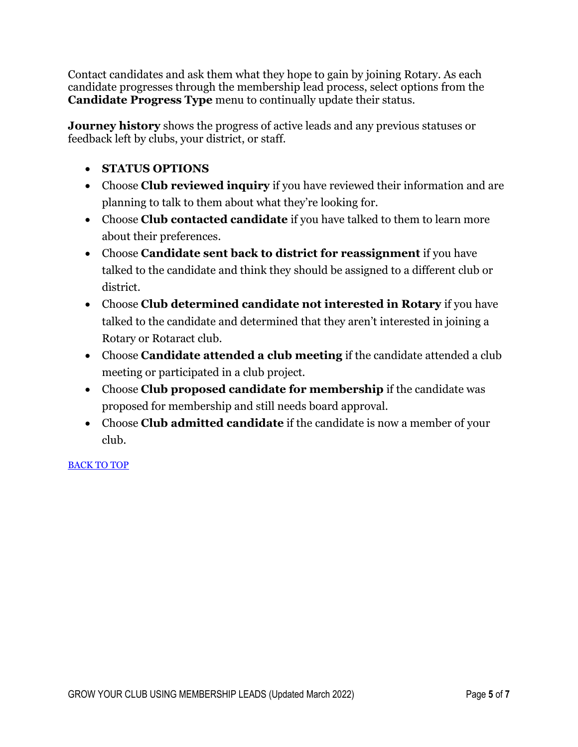Contact candidates and ask them what they hope to gain by joining Rotary. As each candidate progresses through the membership lead process, select options from the **Candidate Progress Type** menu to continually update their status.

**Journey history** shows the progress of active leads and any previous statuses or feedback left by clubs, your district, or staff.

- **STATUS OPTIONS**
- Choose **Club reviewed inquiry** if you have reviewed their information and are planning to talk to them about what they're looking for.
- Choose **Club contacted candidate** if you have talked to them to learn more about their preferences.
- Choose **Candidate sent back to district for reassignment** if you have talked to the candidate and think they should be assigned to a different club or district.
- Choose **Club determined candidate not interested in Rotary** if you have talked to the candidate and determined that they aren't interested in joining a Rotary or Rotaract club.
- Choose **Candidate attended a club meeting** if the candidate attended a club meeting or participated in a club project.
- Choose **Club proposed candidate for membership** if the candidate was proposed for membership and still needs board approval.
- Choose **Club admitted candidate** if the candidate is now a member of your club.

#### [BACK TO TOP](#page-0-0)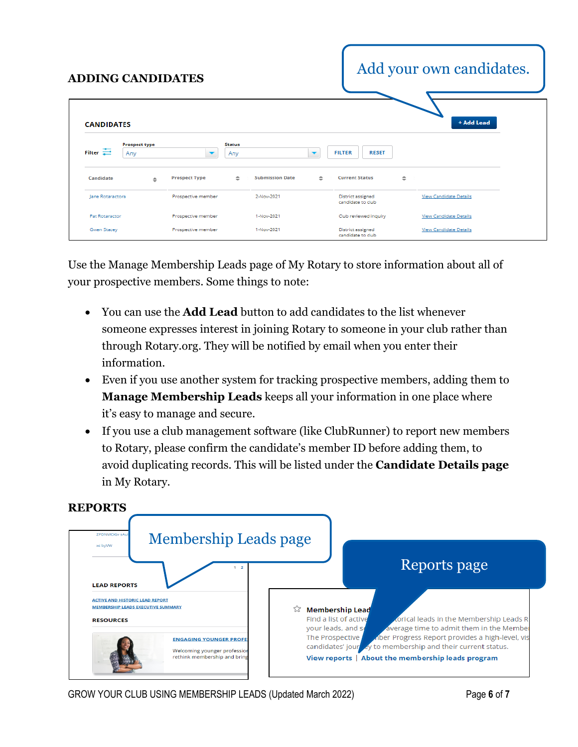<span id="page-5-0"></span>

| <b>ADDING CANDIDATES</b> |                      |                          |               |                        |                          | Add your own candidates.               |        |                               |  |
|--------------------------|----------------------|--------------------------|---------------|------------------------|--------------------------|----------------------------------------|--------|-------------------------------|--|
| <b>CANDIDATES</b>        | <b>Prospect type</b> |                          | <b>Status</b> |                        |                          |                                        |        | + Add Lead                    |  |
| Filter $\equiv$          | Any                  | $\overline{\phantom{a}}$ | Anv           |                        | $\overline{\phantom{a}}$ | <b>FILTER</b><br><b>RESET</b>          |        |                               |  |
| Candidate                | $\hat{=}$            | <b>Prospect Type</b>     | $\div$        | <b>Submission Date</b> | ÷                        | <b>Current Status</b>                  | $\div$ |                               |  |
| Jane Rotaractora         |                      | Prospective member       |               | 2-Nov-2021             |                          | District assigned<br>candidate to club |        | <b>View Candidate Details</b> |  |
| <b>Pat Rotaractor</b>    |                      | Prospective member       |               | 1-Nov-2021             |                          | Club reviewed inquiry                  |        | <b>View Candidate Details</b> |  |
| Gwen Stacey              |                      | Prospective member       |               | 1-Nov-2021             |                          | District assigned<br>candidate to club |        | View Candidate Details        |  |

Use the Manage Membership Leads page of My Rotary to store information about all of your prospective members. Some things to note:

- You can use the **Add Lead** button to add candidates to the list whenever someone expresses interest in joining Rotary to someone in your club rather than through Rotary.org. They will be notified by email when you enter their information.
- Even if you use another system for tracking prospective members, adding them to **Manage Membership Leads** keeps all your information in one place where it's easy to manage and secure.
- If you use a club management software (like ClubRunner) to report new members to Rotary, please confirm the candidate's member ID before adding them, to avoid duplicating records. This will be listed under the **Candidate Details page** in My Rotary.

<span id="page-5-1"></span>

## **REPORTS**